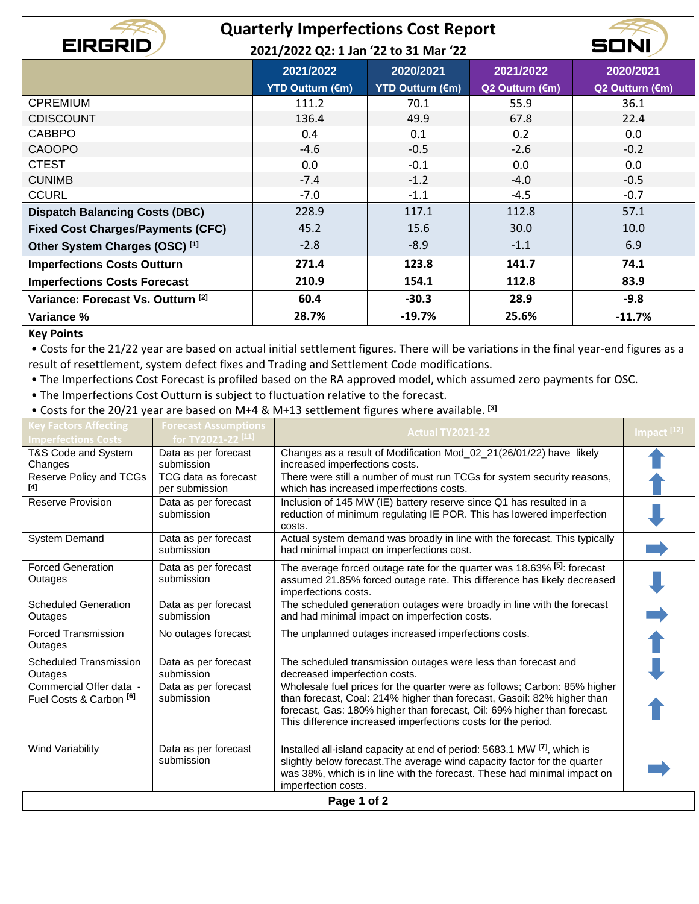|                                           | <b>Quarterly Imperfections Cost Report</b> |                                       |                 |                 |  |  |
|-------------------------------------------|--------------------------------------------|---------------------------------------|-----------------|-----------------|--|--|
| <b>EIRGRID</b>                            |                                            | 2021/2022 Q2: 1 Jan '22 to 31 Mar '22 |                 |                 |  |  |
|                                           | 2021/2022                                  | 2020/2021                             | 2021/2022       | 2020/2021       |  |  |
|                                           | <b>YTD Outturn (€m)</b>                    | <b>YTD Outturn (€m)</b>               | Q2 Outturn (€m) | Q2 Outturn (€m) |  |  |
| <b>CPREMIUM</b>                           | 111.2                                      | 70.1                                  | 55.9            | 36.1            |  |  |
| <b>CDISCOUNT</b>                          | 136.4                                      | 49.9                                  | 67.8            | 22.4            |  |  |
| <b>CABBPO</b>                             | 0.4                                        | 0.1                                   | 0.2             | 0.0             |  |  |
| <b>CAOOPO</b>                             | $-4.6$                                     | $-0.5$                                | $-2.6$          | $-0.2$          |  |  |
| <b>CTEST</b>                              | 0.0                                        | $-0.1$                                | 0.0             | 0.0             |  |  |
| <b>CUNIMB</b>                             | $-7.4$                                     | $-1.2$                                | $-4.0$          | $-0.5$          |  |  |
| <b>CCURL</b>                              | $-7.0$                                     | $-1.1$                                | $-4.5$          | $-0.7$          |  |  |
| <b>Dispatch Balancing Costs (DBC)</b>     | 228.9                                      | 117.1                                 | 112.8           | 57.1            |  |  |
| <b>Fixed Cost Charges/Payments (CFC)</b>  | 45.2                                       | 15.6                                  | 30.0            | 10.0            |  |  |
| Other System Charges (OSC) <sup>[1]</sup> | $-2.8$                                     | $-8.9$                                | $-1.1$          | 6.9             |  |  |
| <b>Imperfections Costs Outturn</b>        | 271.4                                      | 123.8                                 | 141.7           | 74.1            |  |  |
| <b>Imperfections Costs Forecast</b>       | 210.9                                      | 154.1                                 | 112.8           | 83.9            |  |  |
| Variance: Forecast Vs. Outturn [2]        | 60.4                                       | $-30.3$                               | 28.9            | $-9.8$          |  |  |
| Variance %                                | 28.7%                                      | $-19.7%$                              | 25.6%           | $-11.7%$        |  |  |

## **Key Points**

• Costs for the 21/22 year are based on actual initial settlement figures. There will be variations in the final year-end figures as a result of resettlement, system defect fixes and Trading and Settlement Code modifications.

• The Imperfections Cost Forecast is profiled based on the RA approved model, which assumed zero payments for OSC.

• The Imperfections Cost Outturn is subject to fluctuation relative to the forecast.

• Costs for the 20/21 year are based on M+4 & M+13 settlement figures where available. **[3]**

| <b>Key Factors Affecting</b><br><b>Imperfections Costs</b>    | <b>Forecast Assumptions</b><br>for TY2021-22 <sup>[11]</sup> | <b>Actual TY2021-22</b>                                                                                                                                                                                                                                                                           | Impact <sup>[12]</sup> |  |
|---------------------------------------------------------------|--------------------------------------------------------------|---------------------------------------------------------------------------------------------------------------------------------------------------------------------------------------------------------------------------------------------------------------------------------------------------|------------------------|--|
| T&S Code and System<br>Changes                                | Data as per forecast<br>submission                           | Changes as a result of Modification Mod_02_21(26/01/22) have likely<br>increased imperfections costs.                                                                                                                                                                                             |                        |  |
| Reserve Policy and TCGs<br>[4]                                | TCG data as forecast<br>per submission                       | There were still a number of must run TCGs for system security reasons,<br>which has increased imperfections costs.                                                                                                                                                                               |                        |  |
| <b>Reserve Provision</b>                                      | Data as per forecast<br>submission                           | Inclusion of 145 MW (IE) battery reserve since Q1 has resulted in a<br>reduction of minimum regulating IE POR. This has lowered imperfection<br>costs.                                                                                                                                            |                        |  |
| <b>System Demand</b>                                          | Data as per forecast<br>submission                           | Actual system demand was broadly in line with the forecast. This typically<br>had minimal impact on imperfections cost.                                                                                                                                                                           |                        |  |
| <b>Forced Generation</b><br>Outages                           | Data as per forecast<br>submission                           | The average forced outage rate for the quarter was 18.63% [5]: forecast<br>assumed 21.85% forced outage rate. This difference has likely decreased<br>imperfections costs.                                                                                                                        |                        |  |
| <b>Scheduled Generation</b><br>Outages                        | Data as per forecast<br>submission                           | The scheduled generation outages were broadly in line with the forecast<br>and had minimal impact on imperfection costs.                                                                                                                                                                          |                        |  |
| <b>Forced Transmission</b><br>Outages                         | No outages forecast                                          | The unplanned outages increased imperfections costs.                                                                                                                                                                                                                                              |                        |  |
| <b>Scheduled Transmission</b><br>Outages                      | Data as per forecast<br>submission                           | The scheduled transmission outages were less than forecast and<br>decreased imperfection costs.                                                                                                                                                                                                   |                        |  |
| Commercial Offer data -<br>Fuel Costs & Carbon <sup>[6]</sup> | Data as per forecast<br>submission                           | Wholesale fuel prices for the quarter were as follows; Carbon: 85% higher<br>than forecast, Coal: 214% higher than forecast, Gasoil: 82% higher than<br>forecast, Gas: 180% higher than forecast, Oil: 69% higher than forecast.<br>This difference increased imperfections costs for the period. |                        |  |
| <b>Wind Variability</b>                                       | Data as per forecast<br>submission                           | Installed all-island capacity at end of period: 5683.1 MW [7], which is<br>slightly below forecast. The average wind capacity factor for the quarter<br>was 38%, which is in line with the forecast. These had minimal impact on<br>imperfection costs.                                           |                        |  |
| Page 1 of 2                                                   |                                                              |                                                                                                                                                                                                                                                                                                   |                        |  |